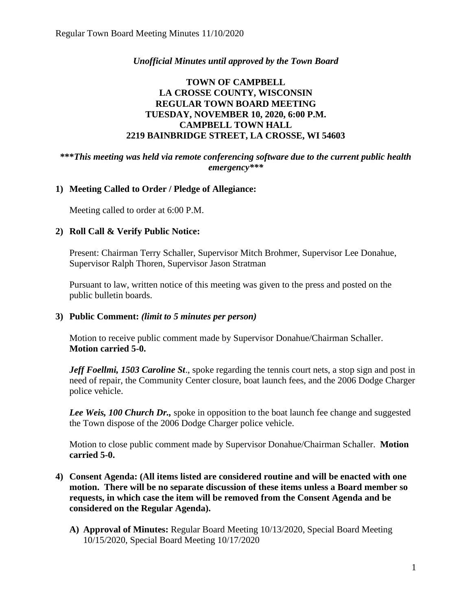# *Unofficial Minutes until approved by the Town Board*

# **TOWN OF CAMPBELL LA CROSSE COUNTY, WISCONSIN REGULAR TOWN BOARD MEETING TUESDAY, NOVEMBER 10, 2020, 6:00 P.M. CAMPBELL TOWN HALL 2219 BAINBRIDGE STREET, LA CROSSE, WI 54603**

### **\*\*\****This meeting was held via remote conferencing software due to the current public health emergency\*\*\**

# **1) Meeting Called to Order / Pledge of Allegiance:**

Meeting called to order at 6:00 P.M.

# **2) Roll Call & Verify Public Notice:**

Present: Chairman Terry Schaller, Supervisor Mitch Brohmer, Supervisor Lee Donahue, Supervisor Ralph Thoren, Supervisor Jason Stratman

Pursuant to law, written notice of this meeting was given to the press and posted on the public bulletin boards.

# **3) Public Comment:** *(limit to 5 minutes per person)*

Motion to receive public comment made by Supervisor Donahue/Chairman Schaller. **Motion carried 5-0.**

*Jeff Foellmi, 1503 Caroline St., spoke regarding the tennis court nets, a stop sign and post in* need of repair, the Community Center closure, boat launch fees, and the 2006 Dodge Charger police vehicle.

*Lee Weis, 100 Church Dr.,* spoke in opposition to the boat launch fee change and suggested the Town dispose of the 2006 Dodge Charger police vehicle.

Motion to close public comment made by Supervisor Donahue/Chairman Schaller. **Motion carried 5-0.**

- **4) Consent Agenda: (All items listed are considered routine and will be enacted with one motion. There will be no separate discussion of these items unless a Board member so requests, in which case the item will be removed from the Consent Agenda and be considered on the Regular Agenda).**
	- **A) Approval of Minutes:** Regular Board Meeting 10/13/2020, Special Board Meeting 10/15/2020, Special Board Meeting 10/17/2020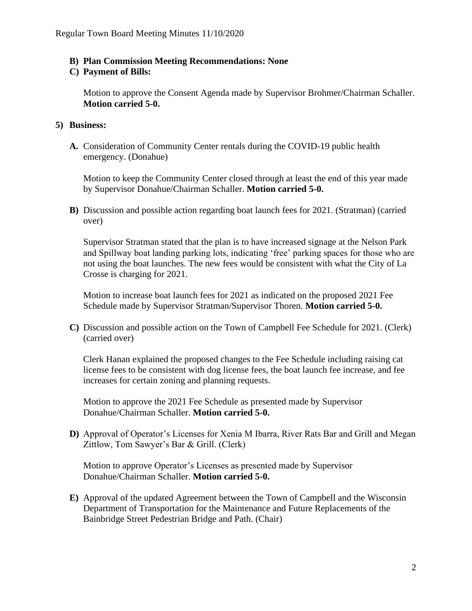### **B) Plan Commission Meeting Recommendations: None**

#### **C) Payment of Bills:**

Motion to approve the Consent Agenda made by Supervisor Brohmer/Chairman Schaller. **Motion carried 5-0.**

### **5) Business:**

**A.** Consideration of Community Center rentals during the COVID-19 public health emergency. (Donahue)

Motion to keep the Community Center closed through at least the end of this year made by Supervisor Donahue/Chairman Schaller. **Motion carried 5-0.** 

**B)** Discussion and possible action regarding boat launch fees for 2021. (Stratman) (carried over)

Supervisor Stratman stated that the plan is to have increased signage at the Nelson Park and Spillway boat landing parking lots, indicating 'free' parking spaces for those who are not using the boat launches. The new fees would be consistent with what the City of La Crosse is charging for 2021.

Motion to increase boat launch fees for 2021 as indicated on the proposed 2021 Fee Schedule made by Supervisor Stratman/Supervisor Thoren. **Motion carried 5-0.**

**C)** Discussion and possible action on the Town of Campbell Fee Schedule for 2021. (Clerk) (carried over)

Clerk Hanan explained the proposed changes to the Fee Schedule including raising cat license fees to be consistent with dog license fees, the boat launch fee increase, and fee increases for certain zoning and planning requests.

Motion to approve the 2021 Fee Schedule as presented made by Supervisor Donahue/Chairman Schaller. **Motion carried 5-0.** 

**D)** Approval of Operator's Licenses for Xenia M Ibarra, River Rats Bar and Grill and Megan Zittlow, Tom Sawyer's Bar & Grill. (Clerk)

Motion to approve Operator's Licenses as presented made by Supervisor Donahue/Chairman Schaller. **Motion carried 5-0.**

**E)** Approval of the updated Agreement between the Town of Campbell and the Wisconsin Department of Transportation for the Maintenance and Future Replacements of the Bainbridge Street Pedestrian Bridge and Path. (Chair)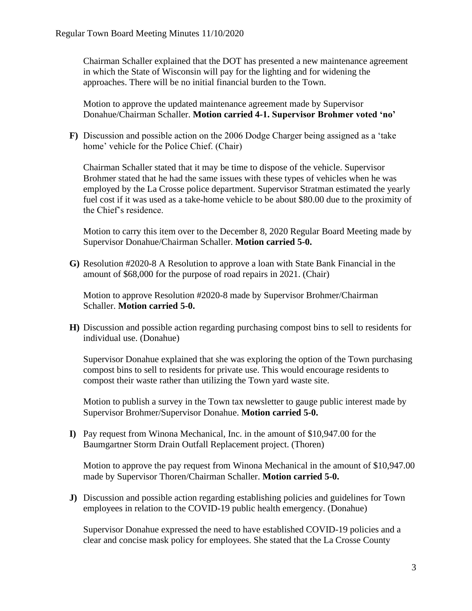Chairman Schaller explained that the DOT has presented a new maintenance agreement in which the State of Wisconsin will pay for the lighting and for widening the approaches. There will be no initial financial burden to the Town.

Motion to approve the updated maintenance agreement made by Supervisor Donahue/Chairman Schaller. **Motion carried 4-1. Supervisor Brohmer voted 'no'**

**F)** Discussion and possible action on the 2006 Dodge Charger being assigned as a 'take home' vehicle for the Police Chief. (Chair)

Chairman Schaller stated that it may be time to dispose of the vehicle. Supervisor Brohmer stated that he had the same issues with these types of vehicles when he was employed by the La Crosse police department. Supervisor Stratman estimated the yearly fuel cost if it was used as a take-home vehicle to be about \$80.00 due to the proximity of the Chief's residence.

Motion to carry this item over to the December 8, 2020 Regular Board Meeting made by Supervisor Donahue/Chairman Schaller. **Motion carried 5-0.** 

**G)** Resolution #2020-8 A Resolution to approve a loan with State Bank Financial in the amount of \$68,000 for the purpose of road repairs in 2021. (Chair)

Motion to approve Resolution #2020-8 made by Supervisor Brohmer/Chairman Schaller. **Motion carried 5-0.**

**H)** Discussion and possible action regarding purchasing compost bins to sell to residents for individual use. (Donahue)

Supervisor Donahue explained that she was exploring the option of the Town purchasing compost bins to sell to residents for private use. This would encourage residents to compost their waste rather than utilizing the Town yard waste site.

Motion to publish a survey in the Town tax newsletter to gauge public interest made by Supervisor Brohmer/Supervisor Donahue. **Motion carried 5-0.**

**I)** Pay request from Winona Mechanical, Inc. in the amount of \$10,947.00 for the Baumgartner Storm Drain Outfall Replacement project. (Thoren)

Motion to approve the pay request from Winona Mechanical in the amount of \$10,947.00 made by Supervisor Thoren/Chairman Schaller. **Motion carried 5-0.**

**J)** Discussion and possible action regarding establishing policies and guidelines for Town employees in relation to the COVID-19 public health emergency. (Donahue)

Supervisor Donahue expressed the need to have established COVID-19 policies and a clear and concise mask policy for employees. She stated that the La Crosse County